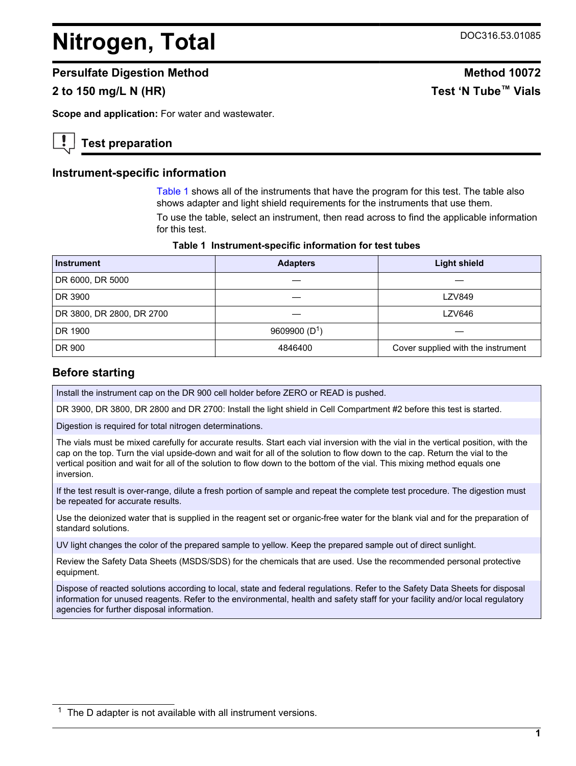# <span id="page-0-0"></span>**Nitrogen, Total** DOC316.53.01085

#### **Persulfate Digestion Method Method 10072**

# **2 to 150 mg/L N (HR) Test 'N Tube™ Vials**

**Scope and application:** For water and wastewater.

# **Test preparation**

#### **Instrument-specific information**

Table 1 shows all of the instruments that have the program for this test. The table also shows adapter and light shield requirements for the instruments that use them.

To use the table, select an instrument, then read across to find the applicable information for this test.

| Table 1 Instrument-specific information for test tubes |  |  |  |  |  |
|--------------------------------------------------------|--|--|--|--|--|
|--------------------------------------------------------|--|--|--|--|--|

| <b>Instrument</b>         | <b>Adapters</b> | <b>Light shield</b>                |
|---------------------------|-----------------|------------------------------------|
| DR 6000, DR 5000          |                 |                                    |
| DR 3900                   |                 | <b>LZV849</b>                      |
| DR 3800, DR 2800, DR 2700 |                 | <b>LZV646</b>                      |
| DR 1900                   | 9609900 $(D1)$  |                                    |
| DR 900                    | 4846400         | Cover supplied with the instrument |

#### **Before starting**

Install the instrument cap on the DR 900 cell holder before ZERO or READ is pushed.

DR 3900, DR 3800, DR 2800 and DR 2700: Install the light shield in Cell Compartment #2 before this test is started.

Digestion is required for total nitrogen determinations.

The vials must be mixed carefully for accurate results. Start each vial inversion with the vial in the vertical position, with the cap on the top. Turn the vial upside-down and wait for all of the solution to flow down to the cap. Return the vial to the vertical position and wait for all of the solution to flow down to the bottom of the vial. This mixing method equals one inversion.

If the test result is over-range, dilute a fresh portion of sample and repeat the complete test procedure. The digestion must be repeated for accurate results.

Use the deionized water that is supplied in the reagent set or organic-free water for the blank vial and for the preparation of standard solutions.

UV light changes the color of the prepared sample to yellow. Keep the prepared sample out of direct sunlight.

Review the Safety Data Sheets (MSDS/SDS) for the chemicals that are used. Use the recommended personal protective equipment.

Dispose of reacted solutions according to local, state and federal regulations. Refer to the Safety Data Sheets for disposal information for unused reagents. Refer to the environmental, health and safety staff for your facility and/or local regulatory agencies for further disposal information.

 $1$  The D adapter is not available with all instrument versions.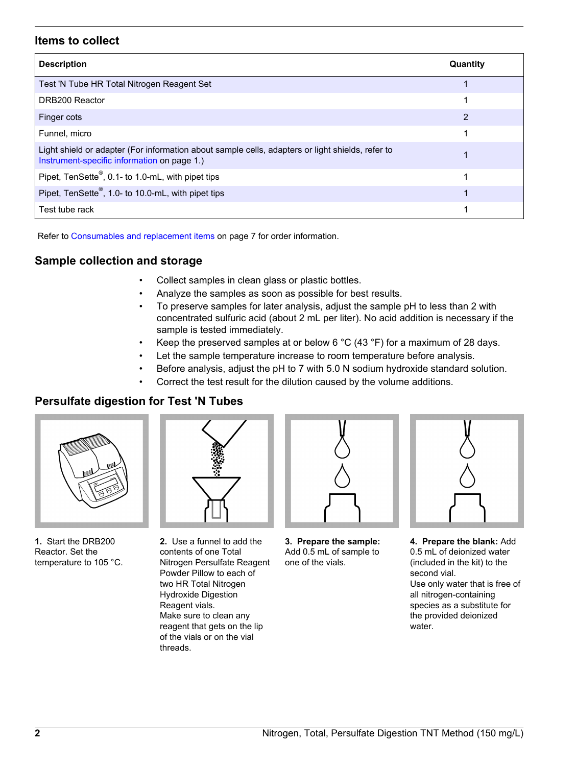#### **Items to collect**

| <b>Description</b>                                                                                                                              | Quantity |
|-------------------------------------------------------------------------------------------------------------------------------------------------|----------|
| Test 'N Tube HR Total Nitrogen Reagent Set                                                                                                      |          |
| DRB200 Reactor                                                                                                                                  |          |
| Finger cots                                                                                                                                     | 2        |
| Funnel, micro                                                                                                                                   |          |
| Light shield or adapter (For information about sample cells, adapters or light shields, refer to<br>Instrument-specific information on page 1.) |          |
| Pipet, TenSette <sup>®</sup> , 0.1- to 1.0-mL, with pipet tips                                                                                  |          |
| Pipet, TenSette <sup>®</sup> , 1.0- to 10.0-mL, with pipet tips                                                                                 |          |
| Test tube rack                                                                                                                                  |          |

Refer to [Consumables and replacement items](#page-6-0) on page 7 for order information.

## **Sample collection and storage**

- Collect samples in clean glass or plastic bottles.
- Analyze the samples as soon as possible for best results.
- To preserve samples for later analysis, adjust the sample pH to less than 2 with concentrated sulfuric acid (about 2 mL per liter). No acid addition is necessary if the sample is tested immediately.
- Keep the preserved samples at or below 6  $^{\circ}$ C (43  $^{\circ}$ F) for a maximum of 28 days.
- Let the sample temperature increase to room temperature before analysis.
- Before analysis, adjust the pH to 7 with 5.0 N sodium hydroxide standard solution.
- Correct the test result for the dilution caused by the volume additions.

## **Persulfate digestion for Test 'N Tubes**



**1.** Start the DRB200 Reactor. Set the temperature to 105 °C.

**2.** Use a funnel to add the contents of one Total Nitrogen Persulfate Reagent Powder Pillow to each of two HR Total Nitrogen Hydroxide Digestion Reagent vials. Make sure to clean any reagent that gets on the lip of the vials or on the vial threads.



**3. Prepare the sample:** Add 0.5 mL of sample to one of the vials.



**4. Prepare the blank:** Add 0.5 mL of deionized water (included in the kit) to the second vial. Use only water that is free of all nitrogen-containing species as a substitute for the provided deionized water.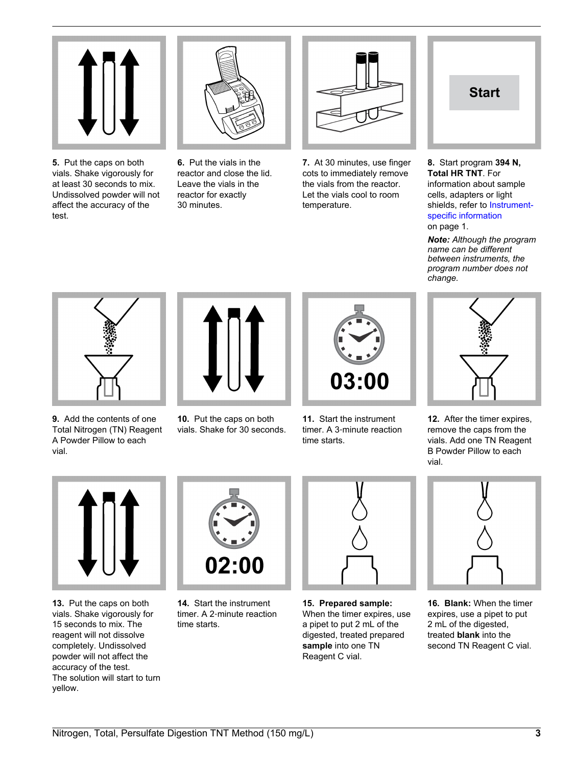

**5.** Put the caps on both vials. Shake vigorously for at least 30 seconds to mix. Undissolved powder will not affect the accuracy of the test.

**6.** Put the vials in the reactor and close the lid. Leave the vials in the reactor for exactly 30 minutes.



**7.** At 30 minutes, use finger cots to immediately remove the vials from the reactor. Let the vials cool to room temperature.



#### **8.** Start program **394 N, Total HR TNT**. For information about sample cells, adapters or light shields, refer to [Instrument-](#page-0-0)

[specific information](#page-0-0) on page 1. *Note: Although the program name can be different between instruments, the*

*program number does not*

*change.*

**9.** Add the contents of one Total Nitrogen (TN) Reagent A Powder Pillow to each vial.



**10.** Put the caps on both vials. Shake for 30 seconds.



**11.** Start the instrument timer. A 3‑minute reaction time starts.



**12.** After the timer expires, remove the caps from the vials. Add one TN Reagent B Powder Pillow to each vial.



**13.** Put the caps on both vials. Shake vigorously for 15 seconds to mix. The reagent will not dissolve completely. Undissolved powder will not affect the accuracy of the test. The solution will start to turn yellow.



**14.** Start the instrument timer. A 2‑minute reaction time starts.



**15. Prepared sample:** When the timer expires, use a pipet to put 2 mL of the digested, treated prepared **sample** into one TN Reagent C vial.



**16. Blank:** When the timer expires, use a pipet to put 2 mL of the digested, treated **blank** into the second TN Reagent C vial.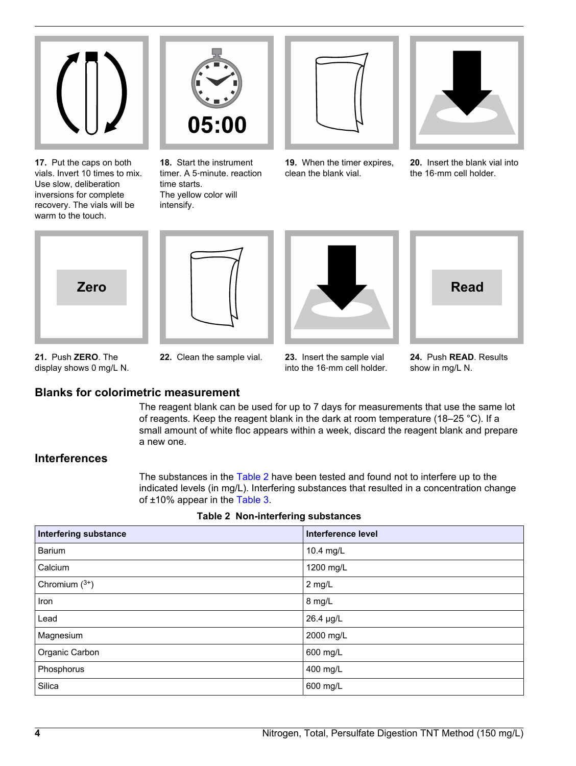

**17.** Put the caps on both vials. Invert 10 times to mix. Use slow, deliberation inversions for complete recovery. The vials will be warm to the touch.



**18.** Start the instrument timer. A 5‑minute. reaction time starts. The yellow color will intensify.



**19.** When the timer expires, clean the blank vial.



**20.** Insert the blank vial into the 16‑mm cell holder.









**21.** Push **ZERO**. The display shows 0 mg/L N.



**24.** Push **READ**. Results show in mg/L N.

## **Blanks for colorimetric measurement**

The reagent blank can be used for up to 7 days for measurements that use the same lot of reagents. Keep the reagent blank in the dark at room temperature (18–25 °C). If a small amount of white floc appears within a week, discard the reagent blank and prepare a new one.

## **Interferences**

The substances in the Table 2 have been tested and found not to interfere up to the indicated levels (in mg/L). Interfering substances that resulted in a concentration change of ±10% appear in the [Table 3.](#page-4-0)

| <b>Interfering substance</b> | Interference level |
|------------------------------|--------------------|
| Barium                       | 10.4 mg/L          |
| Calcium                      | 1200 mg/L          |
| Chromium $(^{3+})$           | 2 mg/L             |
| Iron                         | 8 mg/L             |
| Lead                         | 26.4 µg/L          |
| Magnesium                    | 2000 mg/L          |
| Organic Carbon               | 600 mg/L           |
| Phosphorus                   | 400 mg/L           |
| Silica                       | 600 mg/L           |
|                              |                    |

|  | Table 2 Non-interfering substances |  |
|--|------------------------------------|--|
|--|------------------------------------|--|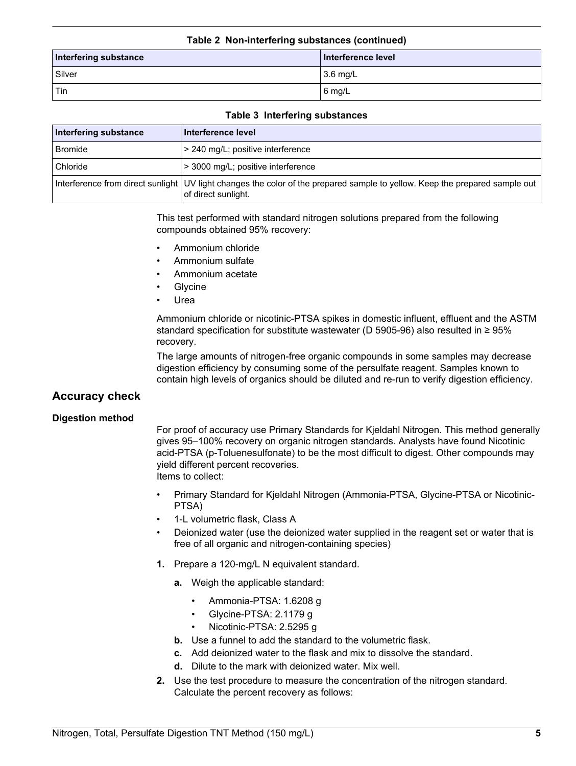#### **Table 2 Non-interfering substances (continued)**

<span id="page-4-0"></span>

| Interfering substance | Interference level |
|-----------------------|--------------------|
| Silver                | $3.6$ mg/L         |
| $ $ Tin               | $16 \text{ mg/L}$  |

#### **Table 3 Interfering substances**

| Interfering substance | Interference level                                                                                                                                 |
|-----------------------|----------------------------------------------------------------------------------------------------------------------------------------------------|
| <b>Bromide</b>        | > 240 mg/L; positive interference                                                                                                                  |
| Chloride              | > 3000 mg/L; positive interference                                                                                                                 |
|                       | Interference from direct sunlight UV light changes the color of the prepared sample to yellow. Keep the prepared sample out<br>of direct sunlight. |

This test performed with standard nitrogen solutions prepared from the following compounds obtained 95% recovery:

- Ammonium chloride
- Ammonium sulfate
- Ammonium acetate
- **Glycine**
- **Urea**

Ammonium chloride or nicotinic-PTSA spikes in domestic influent, effluent and the ASTM standard specification for substitute wastewater (D 5905-96) also resulted in  $\geq$  95% recovery.

The large amounts of nitrogen-free organic compounds in some samples may decrease digestion efficiency by consuming some of the persulfate reagent. Samples known to contain high levels of organics should be diluted and re-run to verify digestion efficiency.

#### **Accuracy check**

#### **Digestion method**

For proof of accuracy use Primary Standards for Kjeldahl Nitrogen. This method generally gives 95–100% recovery on organic nitrogen standards. Analysts have found Nicotinic acid-PTSA (p-Toluenesulfonate) to be the most difficult to digest. Other compounds may yield different percent recoveries. Items to collect:

- Primary Standard for Kjeldahl Nitrogen (Ammonia-PTSA, Glycine-PTSA or Nicotinic-PTSA)
- 1-L volumetric flask, Class A
- Deionized water (use the deionized water supplied in the reagent set or water that is free of all organic and nitrogen-containing species)
- **1.** Prepare a 120-mg/L N equivalent standard.
	- **a.** Weigh the applicable standard:
		- Ammonia-PTSA: 1.6208 g
		- Glycine-PTSA: 2.1179 g
		- Nicotinic-PTSA: 2.5295 g
	- **b.** Use a funnel to add the standard to the volumetric flask.
	- **c.** Add deionized water to the flask and mix to dissolve the standard.
	- **d.** Dilute to the mark with deionized water. Mix well.
- **2.** Use the test procedure to measure the concentration of the nitrogen standard. Calculate the percent recovery as follows: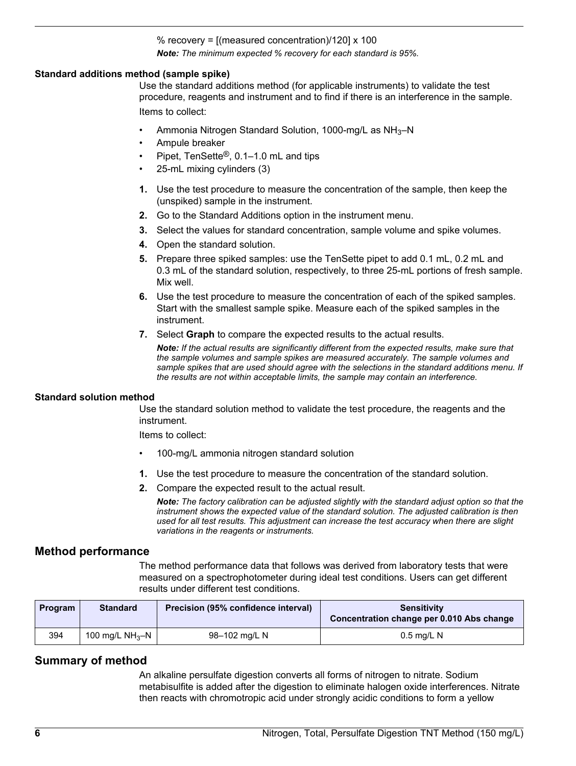#### % recovery =  $\frac{1}{2}$  (measured concentration)/120] x 100 *Note: The minimum expected % recovery for each standard is 95%.*

#### **Standard additions method (sample spike)**

Use the standard additions method (for applicable instruments) to validate the test procedure, reagents and instrument and to find if there is an interference in the sample. Items to collect:

- Ammonia Nitrogen Standard Solution, 1000-mg/L as NH3–N
- Ampule breaker
- Pipet, TenSette®, 0.1–1.0 mL and tips
- 25-mL mixing cylinders (3)
- **1.** Use the test procedure to measure the concentration of the sample, then keep the (unspiked) sample in the instrument.
- **2.** Go to the Standard Additions option in the instrument menu.
- **3.** Select the values for standard concentration, sample volume and spike volumes.
- **4.** Open the standard solution.
- **5.** Prepare three spiked samples: use the TenSette pipet to add 0.1 mL, 0.2 mL and 0.3 mL of the standard solution, respectively, to three 25-mL portions of fresh sample. Mix well.
- **6.** Use the test procedure to measure the concentration of each of the spiked samples. Start with the smallest sample spike. Measure each of the spiked samples in the instrument.
- **7.** Select **Graph** to compare the expected results to the actual results.

*Note: If the actual results are significantly different from the expected results, make sure that the sample volumes and sample spikes are measured accurately. The sample volumes and sample spikes that are used should agree with the selections in the standard additions menu. If the results are not within acceptable limits, the sample may contain an interference.*

#### **Standard solution method**

Use the standard solution method to validate the test procedure, the reagents and the instrument.

Items to collect:

- 100-mg/L ammonia nitrogen standard solution
- **1.** Use the test procedure to measure the concentration of the standard solution.
- **2.** Compare the expected result to the actual result.

*Note: The factory calibration can be adjusted slightly with the standard adjust option so that the instrument shows the expected value of the standard solution. The adjusted calibration is then used for all test results. This adjustment can increase the test accuracy when there are slight variations in the reagents or instruments.*

#### **Method performance**

The method performance data that follows was derived from laboratory tests that were measured on a spectrophotometer during ideal test conditions. Users can get different results under different test conditions.

| Program | <b>Standard</b>  | Precision (95% confidence interval) | <b>Sensitivity</b><br>Concentration change per 0.010 Abs change |
|---------|------------------|-------------------------------------|-----------------------------------------------------------------|
| 394     | 100 mg/L $NH3-N$ | 98-102 mg/L N                       | $0.5$ mg/L N                                                    |

#### **Summary of method**

An alkaline persulfate digestion converts all forms of nitrogen to nitrate. Sodium metabisulfite is added after the digestion to eliminate halogen oxide interferences. Nitrate then reacts with chromotropic acid under strongly acidic conditions to form a yellow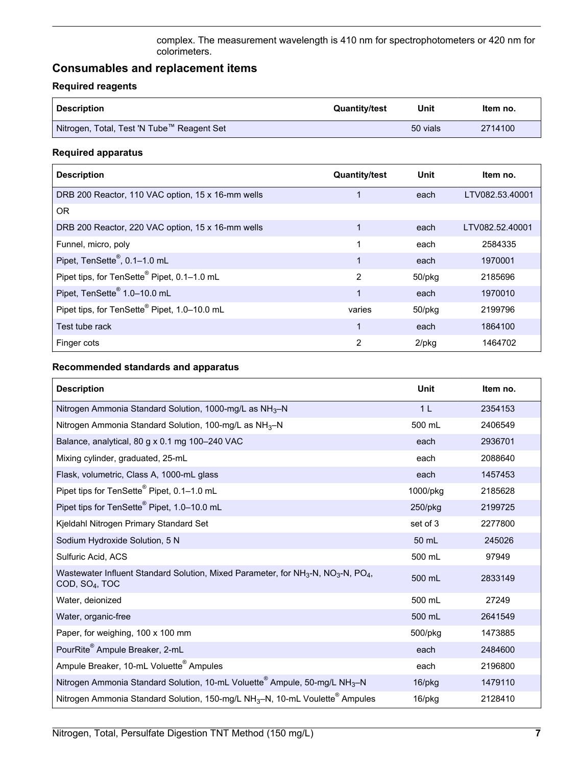complex. The measurement wavelength is 410 nm for spectrophotometers or 420 nm for colorimeters.

# <span id="page-6-0"></span>**Consumables and replacement items**

## **Required reagents**

| <b>Description</b>                           | <b>Quantity/test</b> | Unit     | Item no. |
|----------------------------------------------|----------------------|----------|----------|
| I Nitrogen, Total, Test 'N Tube™ Reagent Set |                      | 50 vials | 2714100  |

#### **Required apparatus**

| <b>Description</b>                                       | <b>Quantity/test</b> | Unit     | Item no.        |
|----------------------------------------------------------|----------------------|----------|-----------------|
| DRB 200 Reactor, 110 VAC option, 15 x 16-mm wells        |                      | each     | LTV082.53.40001 |
| OR.                                                      |                      |          |                 |
| DRB 200 Reactor, 220 VAC option, 15 x 16-mm wells        |                      | each     | LTV082.52.40001 |
| Funnel, micro, poly                                      | 1                    | each     | 2584335         |
| Pipet, TenSette®, 0.1-1.0 mL                             |                      | each     | 1970001         |
| Pipet tips, for TenSette® Pipet, 0.1-1.0 mL              | $\overline{2}$       | 50/pkg   | 2185696         |
| Pipet, TenSette <sup>®</sup> 1.0-10.0 mL                 | 1                    | each     | 1970010         |
| Pipet tips, for TenSette <sup>®</sup> Pipet, 1.0-10.0 mL | varies               | 50/pkg   | 2199796         |
| Test tube rack                                           | 1                    | each     | 1864100         |
| Finger cots                                              | $\overline{2}$       | $2$ /pkg | 1464702         |

#### **Recommended standards and apparatus**

| <b>Description</b>                                                                                                                                  | Unit           | Item no. |
|-----------------------------------------------------------------------------------------------------------------------------------------------------|----------------|----------|
| Nitrogen Ammonia Standard Solution, 1000-mg/L as $NH3-N$                                                                                            | 1 <sub>L</sub> | 2354153  |
| Nitrogen Ammonia Standard Solution, 100-mg/L as NH <sub>3</sub> -N                                                                                  | 500 mL         | 2406549  |
| Balance, analytical, 80 g x 0.1 mg 100-240 VAC                                                                                                      | each           | 2936701  |
| Mixing cylinder, graduated, 25-mL                                                                                                                   | each           | 2088640  |
| Flask, volumetric, Class A, 1000-mL glass                                                                                                           | each           | 1457453  |
| Pipet tips for TenSette <sup>®</sup> Pipet, 0.1-1.0 mL                                                                                              | 1000/pkg       | 2185628  |
| Pipet tips for TenSette® Pipet, 1.0-10.0 mL                                                                                                         | 250/pkg        | 2199725  |
| Kjeldahl Nitrogen Primary Standard Set                                                                                                              | set of 3       | 2277800  |
| Sodium Hydroxide Solution, 5 N                                                                                                                      | 50 mL          | 245026   |
| Sulfuric Acid, ACS                                                                                                                                  | 500 mL         | 97949    |
| Wastewater Influent Standard Solution, Mixed Parameter, for NH <sub>3</sub> -N, NO <sub>3</sub> -N, PO <sub>4</sub> ,<br>COD, SO <sub>4</sub> , TOC | 500 mL         | 2833149  |
| Water, deionized                                                                                                                                    | 500 mL         | 27249    |
| Water, organic-free                                                                                                                                 | 500 mL         | 2641549  |
| Paper, for weighing, 100 x 100 mm                                                                                                                   | 500/pkg        | 1473885  |
| PourRite <sup>®</sup> Ampule Breaker, 2-mL                                                                                                          | each           | 2484600  |
| Ampule Breaker, 10-mL Voluette <sup>®</sup> Ampules                                                                                                 | each           | 2196800  |
| Nitrogen Ammonia Standard Solution, 10-mL Voluette <sup>®</sup> Ampule, 50-mg/L NH <sub>3</sub> -N                                                  | $16$ /p $kg$   | 1479110  |
| Nitrogen Ammonia Standard Solution, 150-mg/L NH <sub>3</sub> -N, 10-mL Voulette <sup>®</sup> Ampules                                                | 16/pkg         | 2128410  |